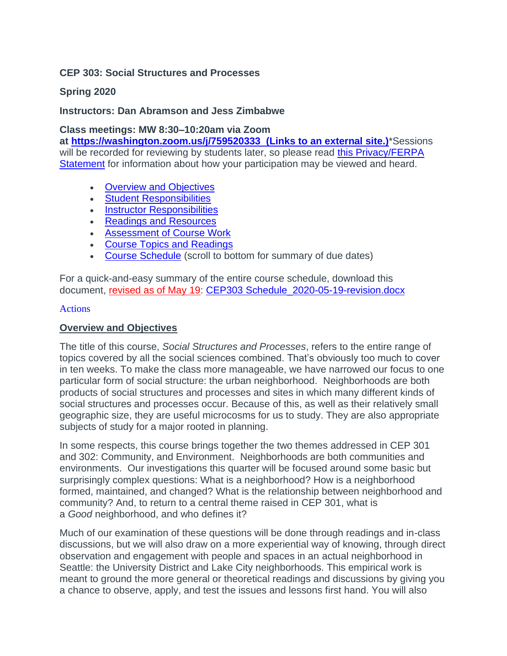#### **CEP 303: Social Structures and Processes**

## **Spring 2020**

#### **Instructors: Dan Abramson and Jess Zimbabwe**

**Class meetings: MW 8:30–10:20am via Zoom** 

**at <https://washington.zoom.us/j/759520333> (Links to an external site.)**\*Sessions will be recorded for reviewing by students later, so please read this Privacy/FERPA [Statement](https://canvas.uw.edu/courses/1371550/pages/privacy-slash-ferpa-statement) for information about how your participation may be viewed and heard.

- [Overview and Objectives](https://canvas.uw.edu/courses/1371550/assignments/syllabus)
- [Student Responsibilities](https://canvas.uw.edu/courses/1371550/assignments/syllabus)
- [Instructor Responsibilities](https://canvas.uw.edu/courses/1371550/assignments/syllabus)
- [Readings and Resources](https://canvas.uw.edu/courses/1371550/assignments/syllabus)
- [Assessment of Course Work](https://canvas.uw.edu/courses/1371550/assignments/syllabus)
- [Course Topics and Readings](https://canvas.uw.edu/courses/1371550/assignments/syllabus)
- [Course Schedule](https://canvas.uw.edu/courses/1371550/assignments/syllabus) (scroll to bottom for summary of due dates)

For a quick-and-easy summary of the entire course schedule, download this document, revised as of May 19: [CEP303 Schedule\\_2020-05-19-revision.docx](https://canvas.uw.edu/courses/1371550/files/65507179/download?wrap=1)

#### [Actions](https://canvas.uw.edu/courses/1371550/assignments/syllabus)

#### **Overview and Objectives**

The title of this course, *Social Structures and Processes*, refers to the entire range of topics covered by all the social sciences combined. That's obviously too much to cover in ten weeks. To make the class more manageable, we have narrowed our focus to one particular form of social structure: the urban neighborhood. Neighborhoods are both products of social structures and processes and sites in which many different kinds of social structures and processes occur. Because of this, as well as their relatively small geographic size, they are useful microcosms for us to study. They are also appropriate subjects of study for a major rooted in planning.

In some respects, this course brings together the two themes addressed in CEP 301 and 302: Community, and Environment. Neighborhoods are both communities and environments. Our investigations this quarter will be focused around some basic but surprisingly complex questions: What is a neighborhood? How is a neighborhood formed, maintained, and changed? What is the relationship between neighborhood and community? And, to return to a central theme raised in CEP 301, what is a *Good* neighborhood, and who defines it?

Much of our examination of these questions will be done through readings and in-class discussions, but we will also draw on a more experiential way of knowing, through direct observation and engagement with people and spaces in an actual neighborhood in Seattle: the University District and Lake City neighborhoods. This empirical work is meant to ground the more general or theoretical readings and discussions by giving you a chance to observe, apply, and test the issues and lessons first hand. You will also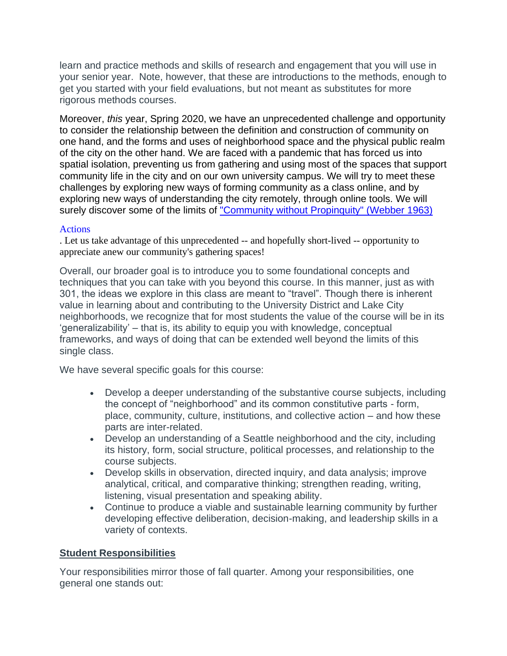learn and practice methods and skills of research and engagement that you will use in your senior year. Note, however, that these are introductions to the methods, enough to get you started with your field evaluations, but not meant as substitutes for more rigorous methods courses.

Moreover, *this* year, Spring 2020, we have an unprecedented challenge and opportunity to consider the relationship between the definition and construction of community on one hand, and the forms and uses of neighborhood space and the physical public realm of the city on the other hand. We are faced with a pandemic that has forced us into spatial isolation, preventing us from gathering and using most of the spaces that support community life in the city and on our own university campus. We will try to meet these challenges by exploring new ways of forming community as a class online, and by exploring new ways of understanding the city remotely, through online tools. We will surely discover some of the limits of ["Community without Propinquity" \(Webber 1963\)](https://canvas.uw.edu/courses/1371550/files/63368713/download?wrap=1)

#### [Actions](https://canvas.uw.edu/courses/1371550/assignments/syllabus)

. Let us take advantage of this unprecedented -- and hopefully short-lived -- opportunity to appreciate anew our community's gathering spaces!

Overall, our broader goal is to introduce you to some foundational concepts and techniques that you can take with you beyond this course. In this manner, just as with 301, the ideas we explore in this class are meant to "travel". Though there is inherent value in learning about and contributing to the University District and Lake City neighborhoods, we recognize that for most students the value of the course will be in its 'generalizability' – that is, its ability to equip you with knowledge, conceptual frameworks, and ways of doing that can be extended well beyond the limits of this single class.

We have several specific goals for this course:

- Develop a deeper understanding of the substantive course subjects, including the concept of "neighborhood" and its common constitutive parts - form, place, community, culture, institutions, and collective action – and how these parts are inter-related.
- Develop an understanding of a Seattle neighborhood and the city, including its history, form, social structure, political processes, and relationship to the course subjects.
- Develop skills in observation, directed inquiry, and data analysis; improve analytical, critical, and comparative thinking; strengthen reading, writing, listening, visual presentation and speaking ability.
- Continue to produce a viable and sustainable learning community by further developing effective deliberation, decision-making, and leadership skills in a variety of contexts.

#### **Student Responsibilities**

Your responsibilities mirror those of fall quarter. Among your responsibilities, one general one stands out: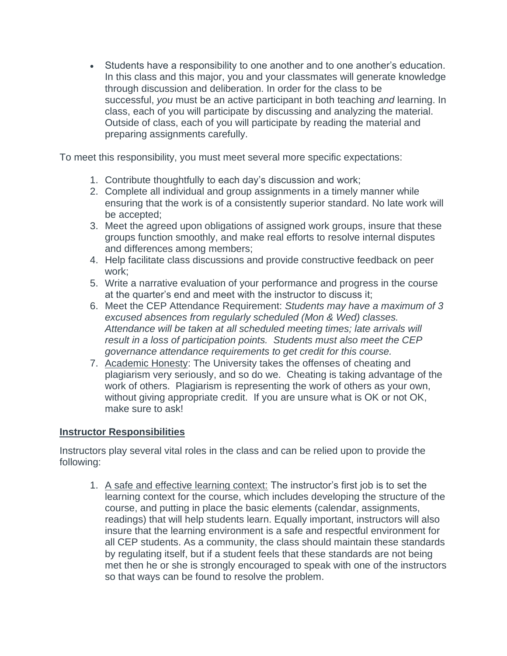• Students have a responsibility to one another and to one another's education. In this class and this major, you and your classmates will generate knowledge through discussion and deliberation. In order for the class to be successful, *you* must be an active participant in both teaching *and* learning. In class, each of you will participate by discussing and analyzing the material. Outside of class, each of you will participate by reading the material and preparing assignments carefully.

To meet this responsibility, you must meet several more specific expectations:

- 1. Contribute thoughtfully to each day's discussion and work;
- 2. Complete all individual and group assignments in a timely manner while ensuring that the work is of a consistently superior standard. No late work will be accepted;
- 3. Meet the agreed upon obligations of assigned work groups, insure that these groups function smoothly, and make real efforts to resolve internal disputes and differences among members;
- 4. Help facilitate class discussions and provide constructive feedback on peer work;
- 5. Write a narrative evaluation of your performance and progress in the course at the quarter's end and meet with the instructor to discuss it;
- 6. Meet the CEP Attendance Requirement: *Students may have a maximum of 3 excused absences from regularly scheduled (Mon & Wed) classes. Attendance will be taken at all scheduled meeting times; late arrivals will result in a loss of participation points. Students must also meet the CEP governance attendance requirements to get credit for this course.*
- 7. Academic Honesty: The University takes the offenses of cheating and plagiarism very seriously, and so do we. Cheating is taking advantage of the work of others. Plagiarism is representing the work of others as your own, without giving appropriate credit. If you are unsure what is OK or not OK, make sure to ask!

## **Instructor Responsibilities**

Instructors play several vital roles in the class and can be relied upon to provide the following:

1. A safe and effective learning context: The instructor's first job is to set the learning context for the course, which includes developing the structure of the course, and putting in place the basic elements (calendar, assignments, readings) that will help students learn. Equally important, instructors will also insure that the learning environment is a safe and respectful environment for all CEP students. As a community, the class should maintain these standards by regulating itself, but if a student feels that these standards are not being met then he or she is strongly encouraged to speak with one of the instructors so that ways can be found to resolve the problem.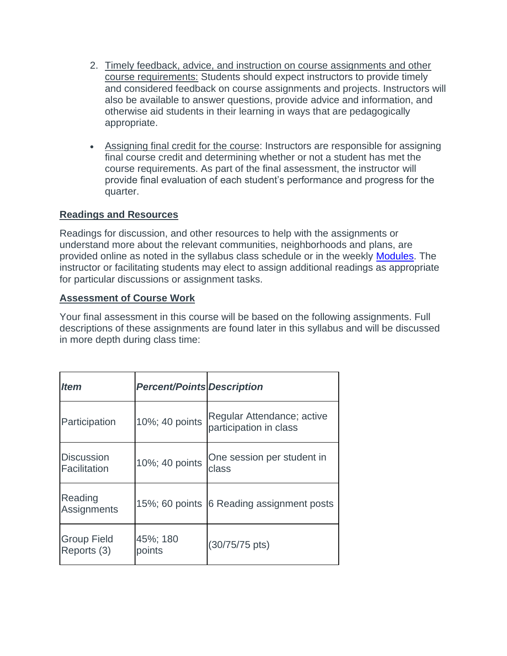- 2. Timely feedback, advice, and instruction on course assignments and other course requirements: Students should expect instructors to provide timely and considered feedback on course assignments and projects. Instructors will also be available to answer questions, provide advice and information, and otherwise aid students in their learning in ways that are pedagogically appropriate.
- Assigning final credit for the course: Instructors are responsible for assigning final course credit and determining whether or not a student has met the course requirements. As part of the final assessment, the instructor will provide final evaluation of each student's performance and progress for the quarter.

## **Readings and Resources**

Readings for discussion, and other resources to help with the assignments or understand more about the relevant communities, neighborhoods and plans, are provided online as noted in the syllabus class schedule or in the weekly [Modules.](https://canvas.uw.edu/courses/1371550/modules) The instructor or facilitating students may elect to assign additional readings as appropriate for particular discussions or assignment tasks.

## **Assessment of Course Work**

Your final assessment in this course will be based on the following assignments. Full descriptions of these assignments are found later in this syllabus and will be discussed in more depth during class time:

| <i>Item</i>                       | <b>Percent/Points Description</b> |                                                      |
|-----------------------------------|-----------------------------------|------------------------------------------------------|
| Participation                     | 10%; 40 points                    | Regular Attendance; active<br>participation in class |
| <b>Discussion</b><br>Facilitation | 10%; 40 points                    | One session per student in<br>class                  |
| Reading<br>Assignments            |                                   | 15%; 60 points 6 Reading assignment posts            |
| <b>Group Field</b><br>Reports (3) | 45%; 180<br>points                | (30/75/75 pts)                                       |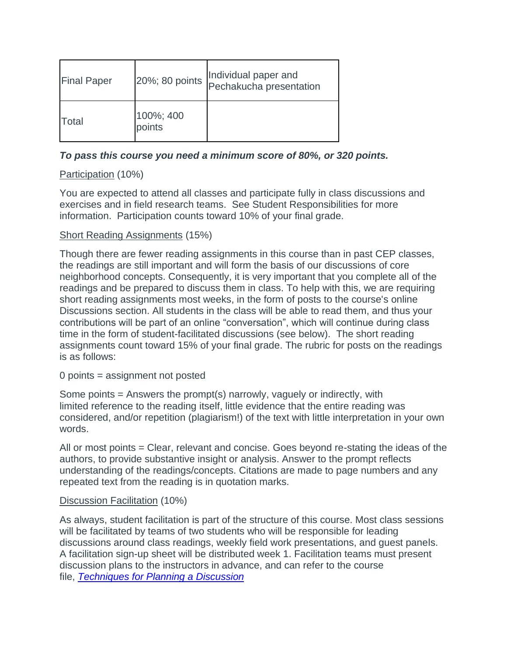| <b>Final Paper</b> | 20%; 80 points      | Individual paper and<br>Pechakucha presentation |
|--------------------|---------------------|-------------------------------------------------|
| Total              | 100%; 400<br>points |                                                 |

## *To pass this course you need a minimum score of 80%, or 320 points.*

## Participation (10%)

You are expected to attend all classes and participate fully in class discussions and exercises and in field research teams. See Student Responsibilities for more information. Participation counts toward 10% of your final grade.

## Short Reading Assignments (15%)

Though there are fewer reading assignments in this course than in past CEP classes, the readings are still important and will form the basis of our discussions of core neighborhood concepts. Consequently, it is very important that you complete all of the readings and be prepared to discuss them in class. To help with this, we are requiring short reading assignments most weeks, in the form of posts to the course's online Discussions section. All students in the class will be able to read them, and thus your contributions will be part of an online "conversation", which will continue during class time in the form of student-facilitated discussions (see below). The short reading assignments count toward 15% of your final grade. The rubric for posts on the readings is as follows:

0 points = assignment not posted

Some points  $=$  Answers the prompt(s) narrowly, vaguely or indirectly, with limited reference to the reading itself, little evidence that the entire reading was considered, and/or repetition (plagiarism!) of the text with little interpretation in your own words.

All or most points = Clear, relevant and concise. Goes beyond re-stating the ideas of the authors, to provide substantive insight or analysis. Answer to the prompt reflects understanding of the readings/concepts. Citations are made to page numbers and any repeated text from the reading is in quotation marks.

#### Discussion Facilitation (10%)

As always, student facilitation is part of the structure of this course. Most class sessions will be facilitated by teams of two students who will be responsible for leading discussions around class readings, weekly field work presentations, and guest panels. A facilitation sign-up sheet will be distributed week 1. Facilitation teams must present discussion plans to the instructors in advance, and can refer to the course file, *[Techniques for Planning a Discussion](https://canvas.uw.edu/courses/1371550/files/63332219/download?wrap=1)*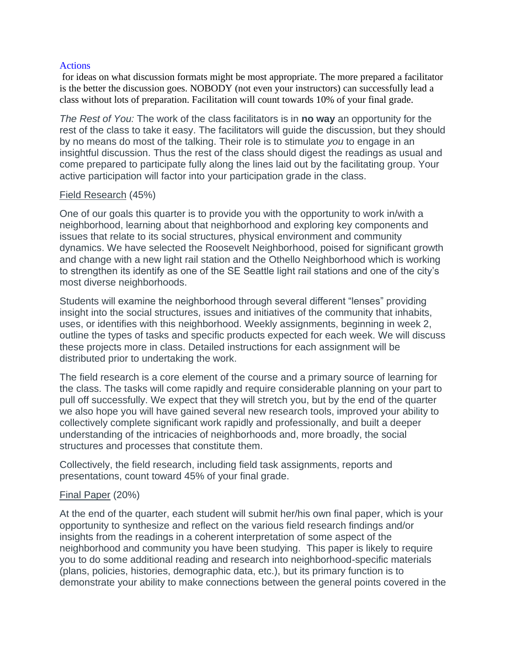#### **[Actions](https://canvas.uw.edu/courses/1371550/assignments/syllabus)**

for ideas on what discussion formats might be most appropriate. The more prepared a facilitator is the better the discussion goes. NOBODY (not even your instructors) can successfully lead a class without lots of preparation. Facilitation will count towards 10% of your final grade.

*The Rest of You:* The work of the class facilitators is in **no way** an opportunity for the rest of the class to take it easy. The facilitators will guide the discussion, but they should by no means do most of the talking. Their role is to stimulate *you* to engage in an insightful discussion. Thus the rest of the class should digest the readings as usual and come prepared to participate fully along the lines laid out by the facilitating group. Your active participation will factor into your participation grade in the class.

#### Field Research (45%)

One of our goals this quarter is to provide you with the opportunity to work in/with a neighborhood, learning about that neighborhood and exploring key components and issues that relate to its social structures, physical environment and community dynamics. We have selected the Roosevelt Neighborhood, poised for significant growth and change with a new light rail station and the Othello Neighborhood which is working to strengthen its identify as one of the SE Seattle light rail stations and one of the city's most diverse neighborhoods.

Students will examine the neighborhood through several different "lenses" providing insight into the social structures, issues and initiatives of the community that inhabits, uses, or identifies with this neighborhood. Weekly assignments, beginning in week 2, outline the types of tasks and specific products expected for each week. We will discuss these projects more in class. Detailed instructions for each assignment will be distributed prior to undertaking the work.

The field research is a core element of the course and a primary source of learning for the class. The tasks will come rapidly and require considerable planning on your part to pull off successfully. We expect that they will stretch you, but by the end of the quarter we also hope you will have gained several new research tools, improved your ability to collectively complete significant work rapidly and professionally, and built a deeper understanding of the intricacies of neighborhoods and, more broadly, the social structures and processes that constitute them.

Collectively, the field research, including field task assignments, reports and presentations, count toward 45% of your final grade.

#### Final Paper (20%)

At the end of the quarter, each student will submit her/his own final paper, which is your opportunity to synthesize and reflect on the various field research findings and/or insights from the readings in a coherent interpretation of some aspect of the neighborhood and community you have been studying. This paper is likely to require you to do some additional reading and research into neighborhood-specific materials (plans, policies, histories, demographic data, etc.), but its primary function is to demonstrate your ability to make connections between the general points covered in the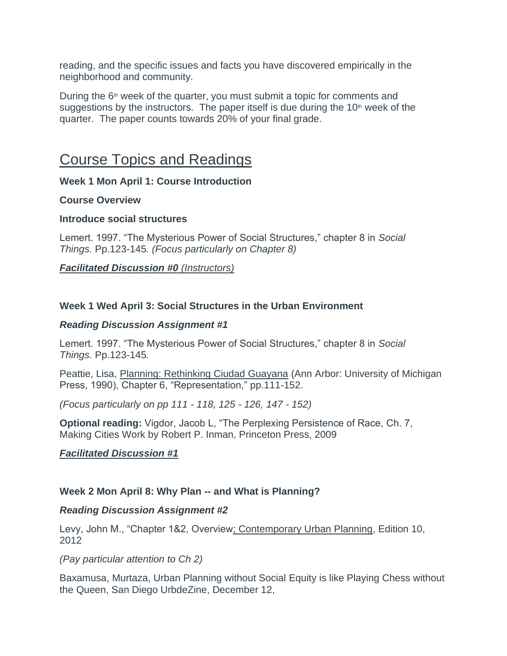reading, and the specific issues and facts you have discovered empirically in the neighborhood and community.

During the  $6<sup>th</sup>$  week of the quarter, you must submit a topic for comments and suggestions by the instructors. The paper itself is due during the  $10<sup>th</sup>$  week of the quarter. The paper counts towards 20% of your final grade.

## Course Topics and Readings

**Week 1 Mon April 1: Course Introduction**

## **Course Overview**

#### **Introduce social structures**

Lemert. 1997. "The Mysterious Power of Social Structures," chapter 8 in *Social Things.* Pp.123-145*. (Focus particularly on Chapter 8)*

## *Facilitated Discussion #0 (Instructors)*

## **Week 1 Wed April 3: Social Structures in the Urban Environment**

#### *Reading Discussion Assignment #1*

Lemert. 1997. "The Mysterious Power of Social Structures," chapter 8 in *Social Things.* Pp.123-145*.*

Peattie, Lisa, Planning: Rethinking Ciudad Guayana (Ann Arbor: University of Michigan Press, 1990), Chapter 6, "Representation," pp.111-152.

*(Focus particularly on pp 111 - 118, 125 - 126, 147 - 152)*

**Optional reading:** Vigdor, Jacob L, "The Perplexing Persistence of Race, Ch. 7, Making Cities Work by Robert P. Inman, Princeton Press, 2009

## *Facilitated Discussion #1*

#### **Week 2 Mon April 8: Why Plan -- and What is Planning?**

#### *Reading Discussion Assignment #2*

Levy, John M., "Chapter 1&2, Overview; Contemporary Urban Planning, Edition 10, 2012

#### *(Pay particular attention to Ch 2)*

Baxamusa, Murtaza, Urban Planning without Social Equity is like Playing Chess without the Queen, San Diego UrbdeZine, December 12,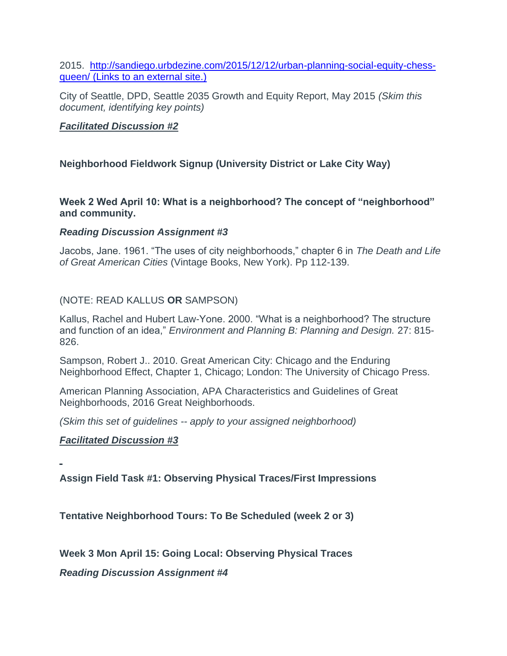2015. [http://sandiego.urbdezine.com/2015/12/12/urban-planning-social-equity-chess](http://sandiego.urbdezine.com/2015/12/12/urban-planning-social-equity-chess-queen/)queen/ (Links to an [external](http://sandiego.urbdezine.com/2015/12/12/urban-planning-social-equity-chess-queen/) site.)

City of Seattle, DPD, Seattle 2035 Growth and Equity Report, May 2015 *(Skim this document, identifying key points)*

## *Facilitated Discussion #2*

## **Neighborhood Fieldwork Signup (University District or Lake City Way)**

**Week 2 Wed April 10: What is a neighborhood? The concept of "neighborhood" and community.**

#### *Reading Discussion Assignment #3*

Jacobs, Jane. 1961. "The uses of city neighborhoods," chapter 6 in *The Death and Life of Great American Cities* (Vintage Books, New York). Pp 112-139.

## (NOTE: READ KALLUS **OR** SAMPSON)

Kallus, Rachel and Hubert Law-Yone. 2000. "What is a neighborhood? The structure and function of an idea," *Environment and Planning B: Planning and Design.* 27: 815- 826.

Sampson, Robert J.. 2010. Great American City: Chicago and the Enduring Neighborhood Effect, Chapter 1, Chicago; London: The University of Chicago Press.

American Planning Association, APA Characteristics and Guidelines of Great Neighborhoods, 2016 Great Neighborhoods.

*(Skim this set of guidelines -- apply to your assigned neighborhood)*

## *Facilitated Discussion #3*

**Assign Field Task #1: Observing Physical Traces/First Impressions**

**Tentative Neighborhood Tours: To Be Scheduled (week 2 or 3)**

**Week 3 Mon April 15: Going Local: Observing Physical Traces**

*Reading Discussion Assignment #4*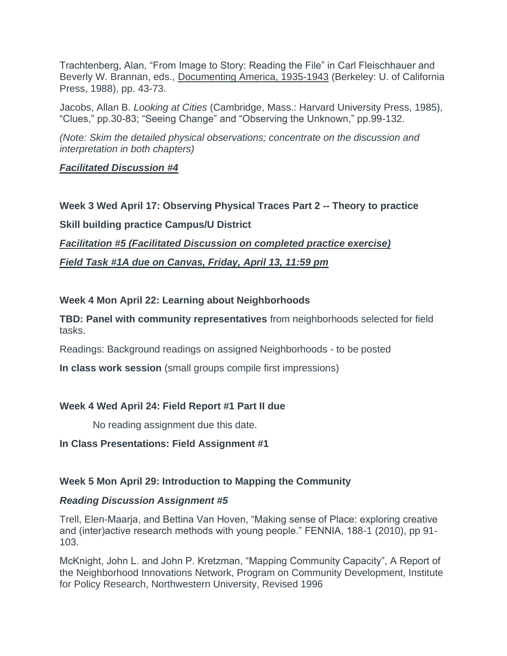Trachtenberg, Alan, "From Image to Story: Reading the File" in Carl Fleischhauer and Beverly W. Brannan, eds., Documenting America, 1935-1943 (Berkeley: U. of California Press, 1988), pp. 43-73.

Jacobs, Allan B. *Looking at Cities* (Cambridge, Mass.: Harvard University Press, 1985), "Clues," pp.30-83; "Seeing Change" and "Observing the Unknown," pp.99-132.

*(Note: Skim the detailed physical observations; concentrate on the discussion and interpretation in both chapters)*

## *Facilitated Discussion #4*

**Week 3 Wed April 17: Observing Physical Traces Part 2 -- Theory to practice Skill building practice Campus/U District** *Facilitation #5 (Facilitated Discussion on completed practice exercise)*

*Field Task #1A due on Canvas, Friday, April 13, 11:59 pm*

## **Week 4 Mon April 22: Learning about Neighborhoods**

**TBD: Panel with community representatives** from neighborhoods selected for field tasks.

Readings: Background readings on assigned Neighborhoods - to be posted

**In class work session** (small groups compile first impressions)

## **Week 4 Wed April 24: Field Report #1 Part II due**

No reading assignment due this date.

#### **In Class Presentations: Field Assignment #1**

## **Week 5 Mon April 29: Introduction to Mapping the Community**

#### *Reading Discussion Assignment #5*

Trell, Elen-Maarja, and Bettina Van Hoven, "Making sense of Place: exploring creative and (inter)active research methods with young people." FENNIA, 188-1 (2010), pp 91- 103.

McKnight, John L. and John P. Kretzman, "Mapping Community Capacity", A Report of the Neighborhood Innovations Network, Program on Community Development, Institute for Policy Research, Northwestern University, Revised 1996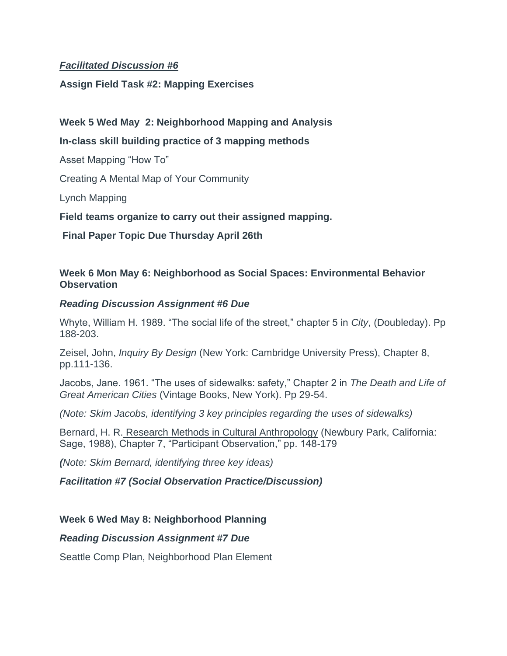## *Facilitated Discussion #6*

#### **Assign Field Task #2: Mapping Exercises**

## **Week 5 Wed May 2: Neighborhood Mapping and Analysis**

## **In-class skill building practice of 3 mapping methods**

Asset Mapping "How To"

Creating A Mental Map of Your Community

Lynch Mapping

**Field teams organize to carry out their assigned mapping.**

**Final Paper Topic Due Thursday April 26th**

#### **Week 6 Mon May 6: Neighborhood as Social Spaces: Environmental Behavior Observation**

#### *Reading Discussion Assignment #6 Due*

Whyte, William H. 1989. "The social life of the street," chapter 5 in *City*, (Doubleday). Pp 188-203.

Zeisel, John, *Inquiry By Design* (New York: Cambridge University Press), Chapter 8, pp.111-136.

Jacobs, Jane. 1961. "The uses of sidewalks: safety," Chapter 2 in *The Death and Life of Great American Cities* (Vintage Books, New York). Pp 29-54.

*(Note: Skim Jacobs, identifying 3 key principles regarding the uses of sidewalks)*

Bernard, H. R. Research Methods in Cultural Anthropology (Newbury Park, California: Sage, 1988), Chapter 7, "Participant Observation," pp. 148-179

*(Note: Skim Bernard, identifying three key ideas)*

#### *Facilitation #7 (Social Observation Practice/Discussion)*

## **Week 6 Wed May 8: Neighborhood Planning**

#### *Reading Discussion Assignment #7 Due*

Seattle Comp Plan, Neighborhood Plan Element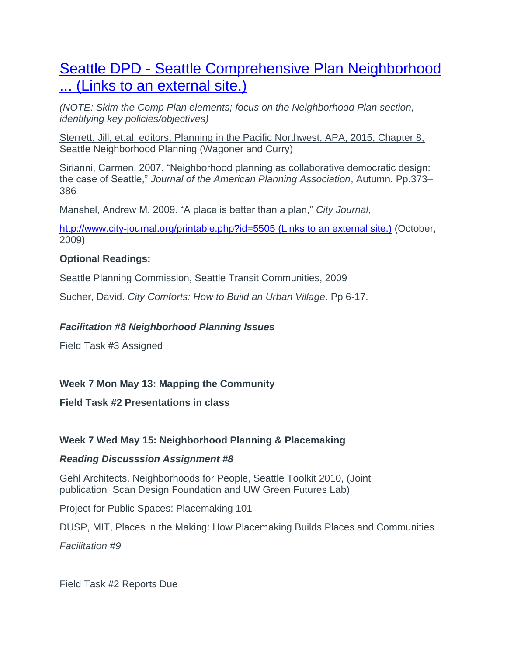# Seattle DPD - [Seattle Comprehensive Plan Neighborhood](http://www.google.com/url?sa=t&rct=j&q=&esrc=s&source=web&cd=1&ved=0CCUQFjAA&url=http%3A%2F%2Fwww.seattle.gov%2Fdpd%2Fcs%2Fgroups%2Fpan%2F%40pan%2Fdocuments%2Fweb_informational%2Fdpdd016646.pdf&ei=FNMIVYDmK4KgoQSxpYCwCQ&usg=AFQjCNGqGAL9Gy4FNwYDvkoKEwMCRiSPyQ&sig2=n98XYcHhARvgtLsAXq8stw&bvm=bv.88198703,d.cGU)  ... (Links to an [external](http://www.google.com/url?sa=t&rct=j&q=&esrc=s&source=web&cd=1&ved=0CCUQFjAA&url=http%3A%2F%2Fwww.seattle.gov%2Fdpd%2Fcs%2Fgroups%2Fpan%2F%40pan%2Fdocuments%2Fweb_informational%2Fdpdd016646.pdf&ei=FNMIVYDmK4KgoQSxpYCwCQ&usg=AFQjCNGqGAL9Gy4FNwYDvkoKEwMCRiSPyQ&sig2=n98XYcHhARvgtLsAXq8stw&bvm=bv.88198703,d.cGU) site.)

*(NOTE: Skim the Comp Plan elements; focus on the Neighborhood Plan section, identifying key policies/objectives)*

Sterrett, Jill, et.al. editors, Planning in the Pacific Northwest, APA, 2015, Chapter 8, Seattle Neighborhood Planning (Wagoner and Curry)

Sirianni, Carmen, 2007. "Neighborhood planning as collaborative democratic design: the case of Seattle," *Journal of the American Planning Association*, Autumn. Pp.373– 386

Manshel, Andrew M. 2009. "A place is better than a plan," *City Journal*,

[http://www.city-journal.org/printable.php?id=5505](https://www.city-journal.org/html/place-better-plan-10634.html) (Links to an external site.) (October, 2009)

## **Optional Readings:**

Seattle Planning Commission, Seattle Transit Communities, 2009

Sucher, David. *City Comforts: How to Build an Urban Village*. Pp 6-17.

## *Facilitation #8 Neighborhood Planning Issues*

Field Task #3 Assigned

## **Week 7 Mon May 13: Mapping the Community**

## **Field Task #2 Presentations in class**

## **Week 7 Wed May 15: Neighborhood Planning & Placemaking**

## *Reading Discusssion Assignment #8*

Gehl Architects. Neighborhoods for People, Seattle Toolkit 2010, (Joint publication Scan Design Foundation and UW Green Futures Lab)

Project for Public Spaces: Placemaking 101

DUSP, MIT, Places in the Making: How Placemaking Builds Places and Communities

*Facilitation #9*

Field Task #2 Reports Due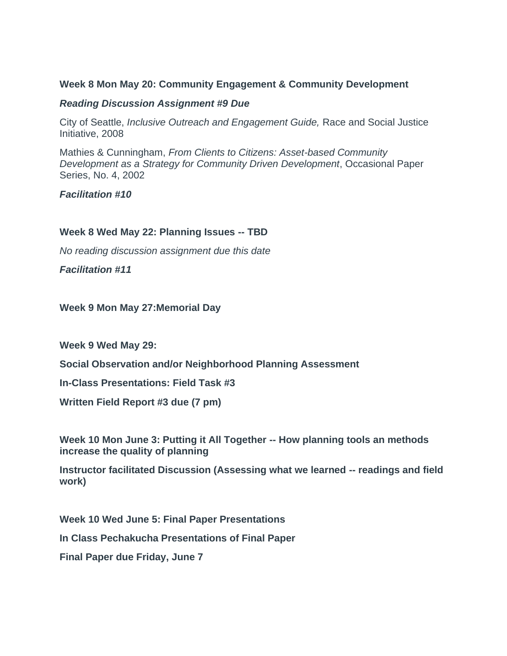#### **Week 8 Mon May 20: Community Engagement & Community Development**

#### *Reading Discussion Assignment #9 Due*

City of Seattle, *Inclusive Outreach and Engagement Guide,* Race and Social Justice Initiative, 2008

Mathies & Cunningham, *From Clients to Citizens: Asset-based Community Development as a Strategy for Community Driven Development*, Occasional Paper Series, No. 4, 2002

*Facilitation #10*

#### **Week 8 Wed May 22: Planning Issues -- TBD**

*No reading discussion assignment due this date*

*Facilitation #11*

#### **Week 9 Mon May 27:Memorial Day**

**Week 9 Wed May 29:**

**Social Observation and/or Neighborhood Planning Assessment**

**In-Class Presentations: Field Task #3**

**Written Field Report #3 due (7 pm)**

**Week 10 Mon June 3: Putting it All Together -- How planning tools an methods increase the quality of planning**

**Instructor facilitated Discussion (Assessing what we learned -- readings and field work)**

**Week 10 Wed June 5: Final Paper Presentations In Class Pechakucha Presentations of Final Paper Final Paper due Friday, June 7**